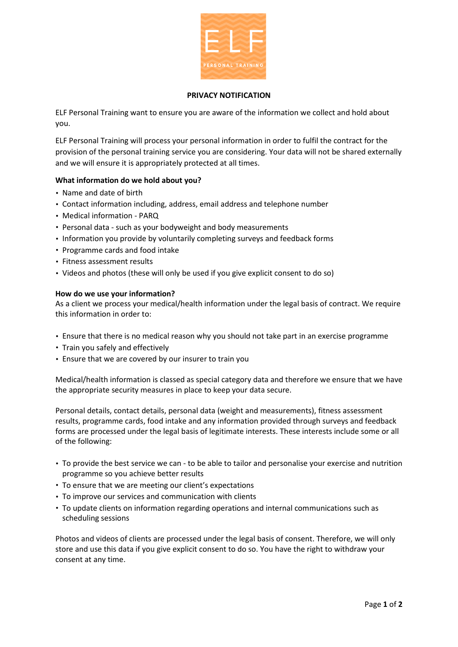

### **PRIVACY NOTIFICATION**

ELF Personal Training want to ensure you are aware of the information we collect and hold about you.

ELF Personal Training will process your personal information in order to fulfil the contract for the provision of the personal training service you are considering. Your data will not be shared externally and we will ensure it is appropriately protected at all times.

# **What information do we hold about you?**

- Name and date of birth
- Contact information including, address, email address and telephone number
- Medical information PARQ
- Personal data such as your bodyweight and body measurements
- Information you provide by voluntarily completing surveys and feedback forms
- Programme cards and food intake
- Fitness assessment results
- Videos and photos (these will only be used if you give explicit consent to do so)

## **How do we use your information?**

As a client we process your medical/health information under the legal basis of contract. We require this information in order to:

- Ensure that there is no medical reason why you should not take part in an exercise programme
- Train you safely and effectively
- Ensure that we are covered by our insurer to train you

Medical/health information is classed as special category data and therefore we ensure that we have the appropriate security measures in place to keep your data secure.

Personal details, contact details, personal data (weight and measurements), fitness assessment results, programme cards, food intake and any information provided through surveys and feedback forms are processed under the legal basis of legitimate interests. These interests include some or all of the following:

- To provide the best service we can to be able to tailor and personalise your exercise and nutrition programme so you achieve better results
- To ensure that we are meeting our client's expectations
- To improve our services and communication with clients
- To update clients on information regarding operations and internal communications such as scheduling sessions

Photos and videos of clients are processed under the legal basis of consent. Therefore, we will only store and use this data if you give explicit consent to do so. You have the right to withdraw your consent at any time.